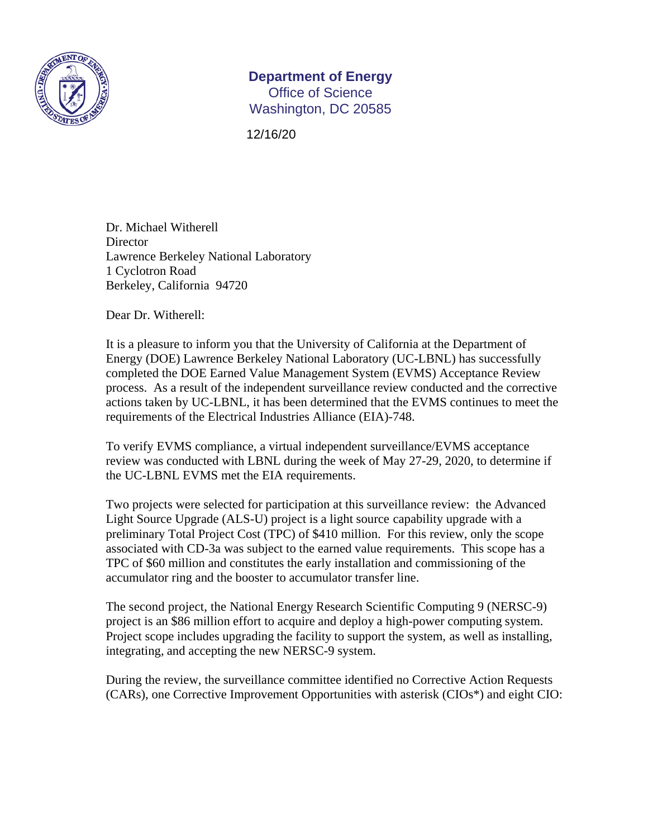

## **Department of Energy**  Office of Science

Washington, DC 20585

12/16/20

Dr. Michael Witherell **Director** Lawrence Berkeley National Laboratory 1 Cyclotron Road Berkeley, California 94720

Dear Dr. Witherell:

It is a pleasure to inform you that the University of California at the Department of Energy (DOE) Lawrence Berkeley National Laboratory (UC-LBNL) has successfully completed the DOE Earned Value Management System (EVMS) Acceptance Review process. As a result of the independent surveillance review conducted and the corrective actions taken by UC-LBNL, it has been determined that the EVMS continues to meet the requirements of the Electrical Industries Alliance (EIA)-748.

To verify EVMS compliance, a virtual independent surveillance/EVMS acceptance review was conducted with LBNL during the week of May 27-29, 2020, to determine if the UC-LBNL EVMS met the EIA requirements.

Two projects were selected for participation at this surveillance review: the Advanced Light Source Upgrade (ALS-U) project is a light source capability upgrade with a preliminary Total Project Cost (TPC) of \$410 million. For this review, only the scope associated with CD-3a was subject to the earned value requirements. This scope has a TPC of \$60 million and constitutes the early installation and commissioning of the accumulator ring and the booster to accumulator transfer line.

The second project, the National Energy Research Scientific Computing 9 (NERSC-9) project is an \$86 million effort to acquire and deploy a high-power computing system. Project scope includes upgrading the facility to support the system, as well as installing, integrating, and accepting the new NERSC-9 system.

During the review, the surveillance committee identified no Corrective Action Requests (CARs), one Corrective Improvement Opportunities with asterisk (CIOs\*) and eight CIO: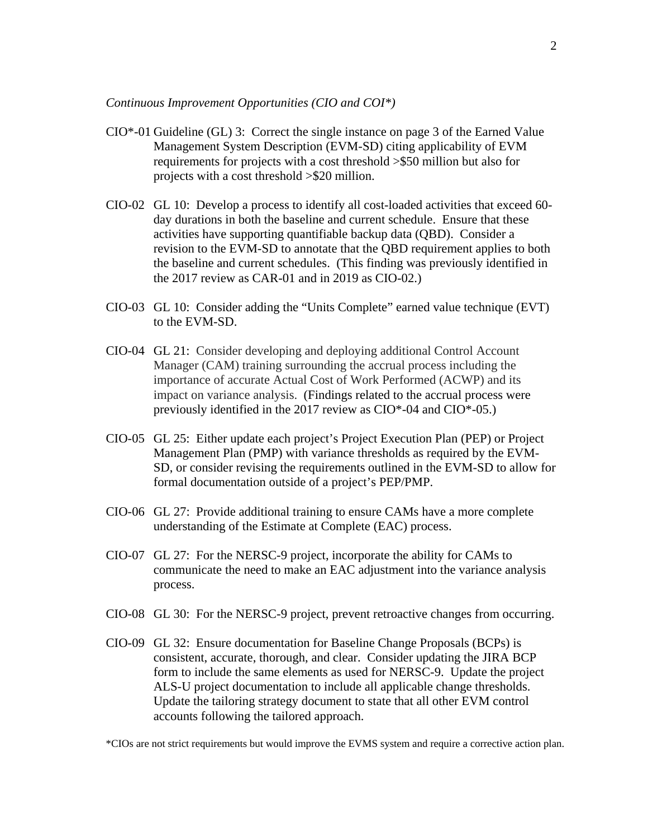*Continuous Improvement Opportunities (CIO and COI\*)* 

- CIO\*-01 Guideline (GL) 3: Correct the single instance on page 3 of the Earned Value Management System Description (EVM-SD) citing applicability of EVM requirements for projects with a cost threshold >\$50 million but also for projects with a cost threshold >\$20 million.
- CIO-02 GL 10: Develop a process to identify all cost-loaded activities that exceed 60 day durations in both the baseline and current schedule. Ensure that these activities have supporting quantifiable backup data (QBD). Consider a revision to the EVM-SD to annotate that the QBD requirement applies to both the baseline and current schedules. (This finding was previously identified in the 2017 review as CAR-01 and in 2019 as CIO-02.)
- CIO-03 GL 10: Consider adding the "Units Complete" earned value technique (EVT) to the EVM-SD.
- CIO-04 GL 21: Consider developing and deploying additional Control Account Manager (CAM) training surrounding the accrual process including the importance of accurate Actual Cost of Work Performed (ACWP) and its impact on variance analysis. (Findings related to the accrual process were previously identified in the 2017 review as CIO\*-04 and CIO\*-05.)
- CIO-05 GL 25: Either update each project's Project Execution Plan (PEP) or Project Management Plan (PMP) with variance thresholds as required by the EVM-SD, or consider revising the requirements outlined in the EVM-SD to allow for formal documentation outside of a project's PEP/PMP.
- CIO-06 GL 27: Provide additional training to ensure CAMs have a more complete understanding of the Estimate at Complete (EAC) process.
- CIO-07 GL 27: For the NERSC-9 project, incorporate the ability for CAMs to communicate the need to make an EAC adjustment into the variance analysis process.
- CIO-08 GL 30: For the NERSC-9 project, prevent retroactive changes from occurring.
- CIO-09 GL 32: Ensure documentation for Baseline Change Proposals (BCPs) is consistent, accurate, thorough, and clear. Consider updating the JIRA BCP form to include the same elements as used for NERSC-9. Update the project ALS-U project documentation to include all applicable change thresholds. Update the tailoring strategy document to state that all other EVM control accounts following the tailored approach.

\*CIOs are not strict requirements but would improve the EVMS system and require a corrective action plan.